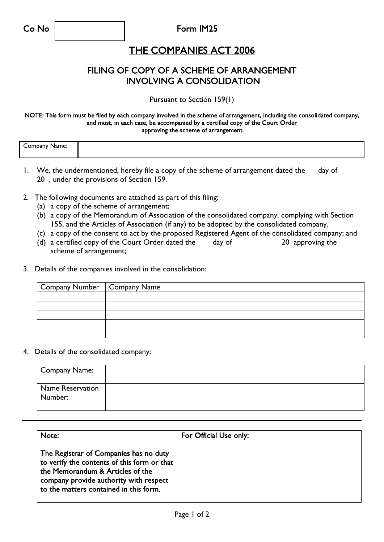Co No Form IM25

## THE COMPANIES ACT 2006

## FILING OF COPY OF A SCHEME OF ARRANGEMENT INVOLVING A CONSOLIDATION

Pursuant to Section 159(1)

#### NOTE: This form must be filed by each company involved in the scheme of arrangement, including the consolidated company, and must, in each case, be accompanied by a certified copy of the Court Order approving the scheme of arrangement.

| ╭<br>-----<br>. ∩m<br>vanie.<br>ndan<br>$\sim$ $\sim$ $\sim$ $\sim$ $\sim$ |  |
|----------------------------------------------------------------------------|--|
|                                                                            |  |

- 1. We, the undermentioned, hereby file a copy of the scheme of arrangement dated the day of 20 , under the provisions of Section 159.
- 2. The following documents are attached as part of this filing:
	- (a) a copy of the scheme of arrangement;
	- (b) a copy of the Memorandum of Association of the consolidated company, complying with Section 155, and the Articles of Association (if any) to be adopted by the consolidated company.
	- (c) a copy of the consent to act by the proposed Registered Agent of the consolidated company; and
	- (d) a certified copy of the Court Order dated the day of 20 approving the scheme of arrangement;
- 3. Details of the companies involved in the consolidation:

| Company Number   Company Name |  |
|-------------------------------|--|
|                               |  |
|                               |  |
|                               |  |
|                               |  |
|                               |  |

4. Details of the consolidated company:

| <b>Company Name:</b>        |  |
|-----------------------------|--|
| Name Reservation<br>Number: |  |

| Note:                                                                                                                                                                                                         | For Official Use only: |  |
|---------------------------------------------------------------------------------------------------------------------------------------------------------------------------------------------------------------|------------------------|--|
| The Registrar of Companies has no duty<br>to verify the contents of this form or that<br>the Memorandum & Articles of the<br>company provide authority with respect<br>to the matters contained in this form. |                        |  |